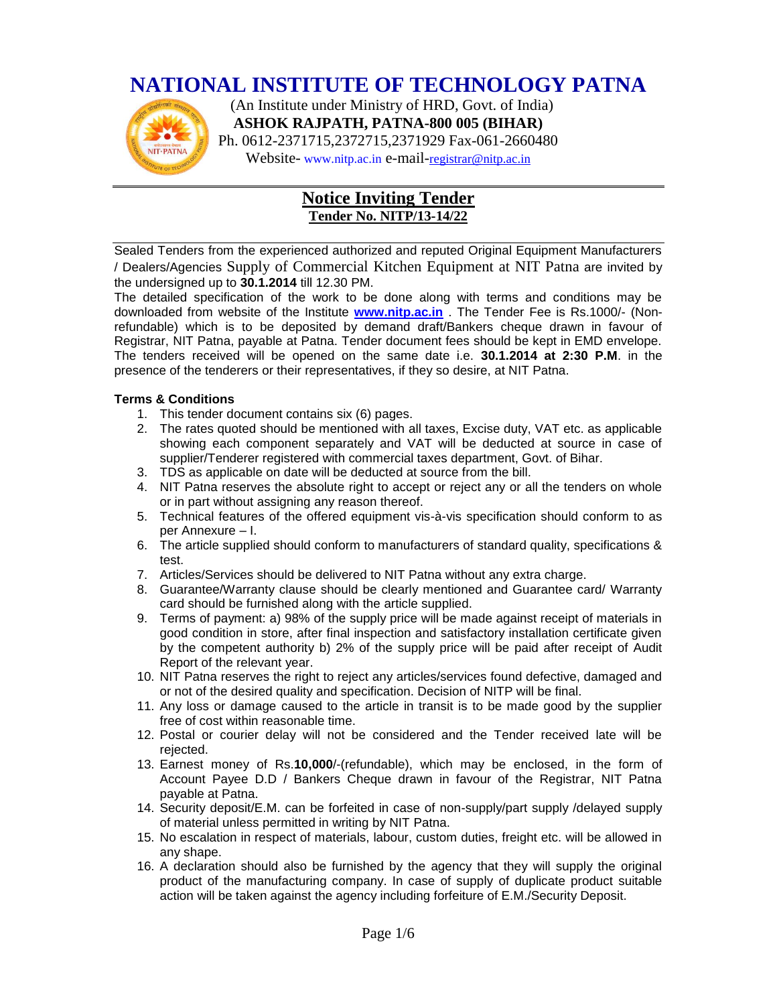## **NATIONAL INSTITUTE OF TECHNOLOGY PATNA**



 (An Institute under Ministry of HRD, Govt. of India) **ASHOK RAJPATH, PATNA-800 005 (BIHAR)** Ph. 0612-2371715,2372715,2371929 Fax-061-2660480 Website- www.nitp.ac.in e-mail-[registrar@nitp.ac.in](mailto:registrar@nitp.ac.in)

## **Notice Inviting Tender Tender No. NITP/13-14/22**

Sealed Tenders from the experienced authorized and reputed Original Equipment Manufacturers / Dealers/Agencies Supply of Commercial Kitchen Equipment at NIT Patna are invited by the undersigned up to **30.1.2014** till 12.30 PM.

The detailed specification of the work to be done along with terms and conditions may be downloaded from website of the Institute **[www.nitp.ac.in](http://www.nitp.ac.in/)** . The Tender Fee is Rs.1000/- (Nonrefundable) which is to be deposited by demand draft/Bankers cheque drawn in favour of Registrar, NIT Patna, payable at Patna. Tender document fees should be kept in EMD envelope. The tenders received will be opened on the same date i.e. **30.1.2014 at 2:30 P.M**. in the presence of the tenderers or their representatives, if they so desire, at NIT Patna.

#### **Terms & Conditions**

- 1. This tender document contains six (6) pages.
- 2. The rates quoted should be mentioned with all taxes, Excise duty, VAT etc. as applicable showing each component separately and VAT will be deducted at source in case of supplier/Tenderer registered with commercial taxes department, Govt. of Bihar.
- 3. TDS as applicable on date will be deducted at source from the bill.
- 4. NIT Patna reserves the absolute right to accept or reject any or all the tenders on whole or in part without assigning any reason thereof.
- 5. Technical features of the offered equipment vis-à-vis specification should conform to as per Annexure – I.
- 6. The article supplied should conform to manufacturers of standard quality, specifications & test.
- 7. Articles/Services should be delivered to NIT Patna without any extra charge.
- 8. Guarantee/Warranty clause should be clearly mentioned and Guarantee card/ Warranty card should be furnished along with the article supplied.
- 9. Terms of payment: a) 98% of the supply price will be made against receipt of materials in good condition in store, after final inspection and satisfactory installation certificate given by the competent authority b) 2% of the supply price will be paid after receipt of Audit Report of the relevant year.
- 10. NIT Patna reserves the right to reject any articles/services found defective, damaged and or not of the desired quality and specification. Decision of NITP will be final.
- 11. Any loss or damage caused to the article in transit is to be made good by the supplier free of cost within reasonable time.
- 12. Postal or courier delay will not be considered and the Tender received late will be rejected.
- 13. Earnest money of Rs.**10,000**/-(refundable), which may be enclosed, in the form of Account Payee D.D / Bankers Cheque drawn in favour of the Registrar, NIT Patna payable at Patna.
- 14. Security deposit/E.M. can be forfeited in case of non-supply/part supply /delayed supply of material unless permitted in writing by NIT Patna.
- 15. No escalation in respect of materials, labour, custom duties, freight etc. will be allowed in any shape.
- 16. A declaration should also be furnished by the agency that they will supply the original product of the manufacturing company. In case of supply of duplicate product suitable action will be taken against the agency including forfeiture of E.M./Security Deposit.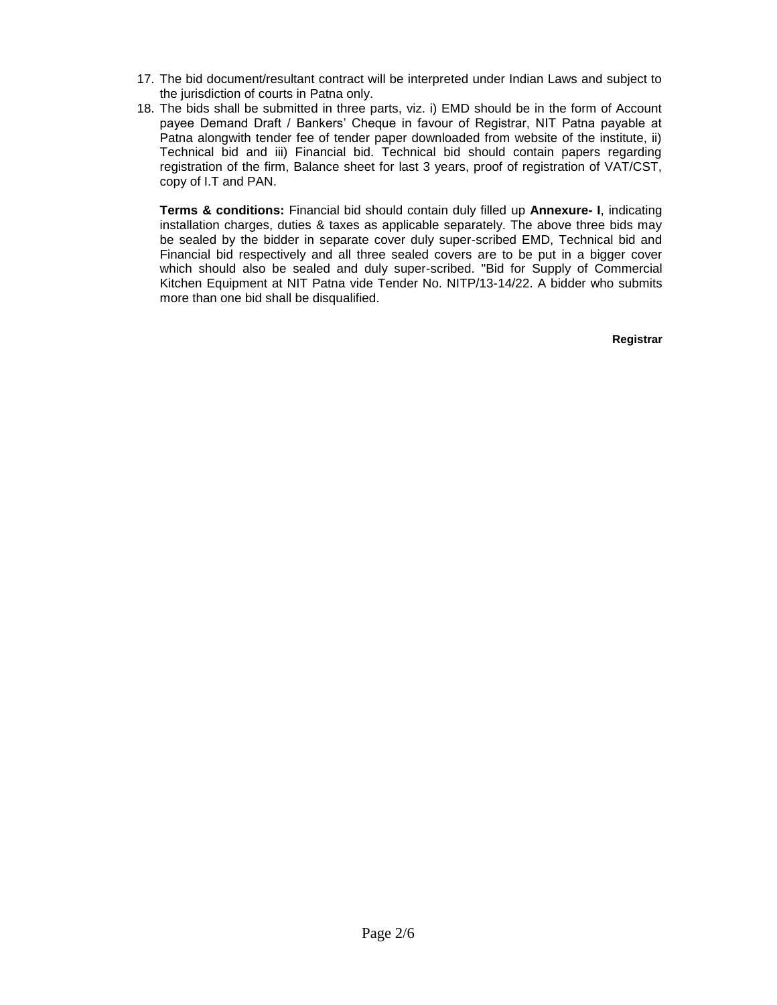- 17. The bid document/resultant contract will be interpreted under Indian Laws and subject to the jurisdiction of courts in Patna only.
- 18. The bids shall be submitted in three parts, viz. i) EMD should be in the form of Account payee Demand Draft / Bankers' Cheque in favour of Registrar, NIT Patna payable at Patna alongwith tender fee of tender paper downloaded from website of the institute, ii) Technical bid and iii) Financial bid. Technical bid should contain papers regarding registration of the firm, Balance sheet for last 3 years, proof of registration of VAT/CST, copy of I.T and PAN.

**Terms & conditions:** Financial bid should contain duly filled up **Annexure- I**, indicating installation charges, duties & taxes as applicable separately. The above three bids may be sealed by the bidder in separate cover duly super-scribed EMD, Technical bid and Financial bid respectively and all three sealed covers are to be put in a bigger cover which should also be sealed and duly super-scribed. "Bid for Supply of Commercial Kitchen Equipment at NIT Patna vide Tender No. NITP/13-14/22. A bidder who submits more than one bid shall be disqualified.

 **Registrar**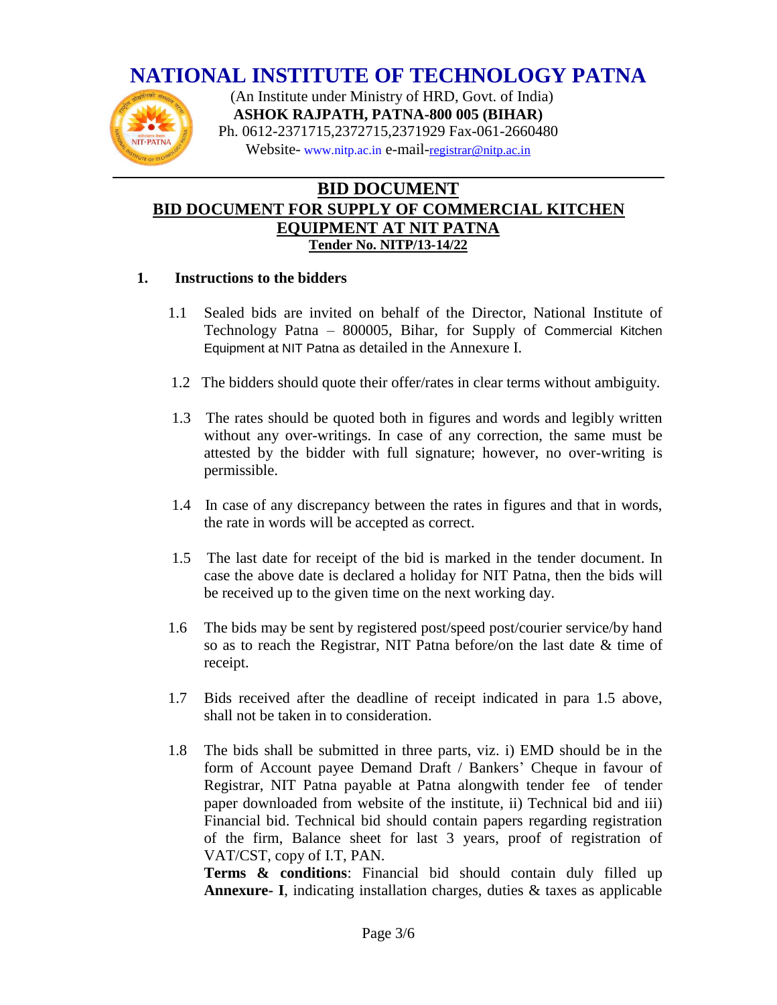# **NATIONAL INSTITUTE OF TECHNOLOGY PATNA**



 (An Institute under Ministry of HRD, Govt. of India) **ASHOK RAJPATH, PATNA-800 005 (BIHAR)** Ph. 0612-2371715,2372715,2371929 Fax-061-2660480 Website- www.nitp.ac.in e-mail-[registrar@nitp.ac.in](mailto:registrar@nitp.ac.in)

## **BID DOCUMENT BID DOCUMENT FOR SUPPLY OF COMMERCIAL KITCHEN EQUIPMENT AT NIT PATNA Tender No. NITP/13-14/22**

#### **1. Instructions to the bidders**

- 1.1 Sealed bids are invited on behalf of the Director, National Institute of Technology Patna – 800005, Bihar, for Supply of Commercial Kitchen Equipment at NIT Patna as detailed in the Annexure I.
- 1.2 The bidders should quote their offer/rates in clear terms without ambiguity.
- 1.3 The rates should be quoted both in figures and words and legibly written without any over-writings. In case of any correction, the same must be attested by the bidder with full signature; however, no over-writing is permissible.
- 1.4 In case of any discrepancy between the rates in figures and that in words, the rate in words will be accepted as correct.
- 1.5 The last date for receipt of the bid is marked in the tender document. In case the above date is declared a holiday for NIT Patna, then the bids will be received up to the given time on the next working day.
- 1.6 The bids may be sent by registered post/speed post/courier service/by hand so as to reach the Registrar, NIT Patna before/on the last date & time of receipt.
- 1.7 Bids received after the deadline of receipt indicated in para 1.5 above, shall not be taken in to consideration.
- 1.8 The bids shall be submitted in three parts, viz. i) EMD should be in the form of Account payee Demand Draft / Bankers' Cheque in favour of Registrar, NIT Patna payable at Patna alongwith tender fee of tender paper downloaded from website of the institute, ii) Technical bid and iii) Financial bid. Technical bid should contain papers regarding registration of the firm, Balance sheet for last 3 years, proof of registration of VAT/CST, copy of I.T, PAN.

**Terms & conditions**: Financial bid should contain duly filled up **Annexure- I**, indicating installation charges, duties & taxes as applicable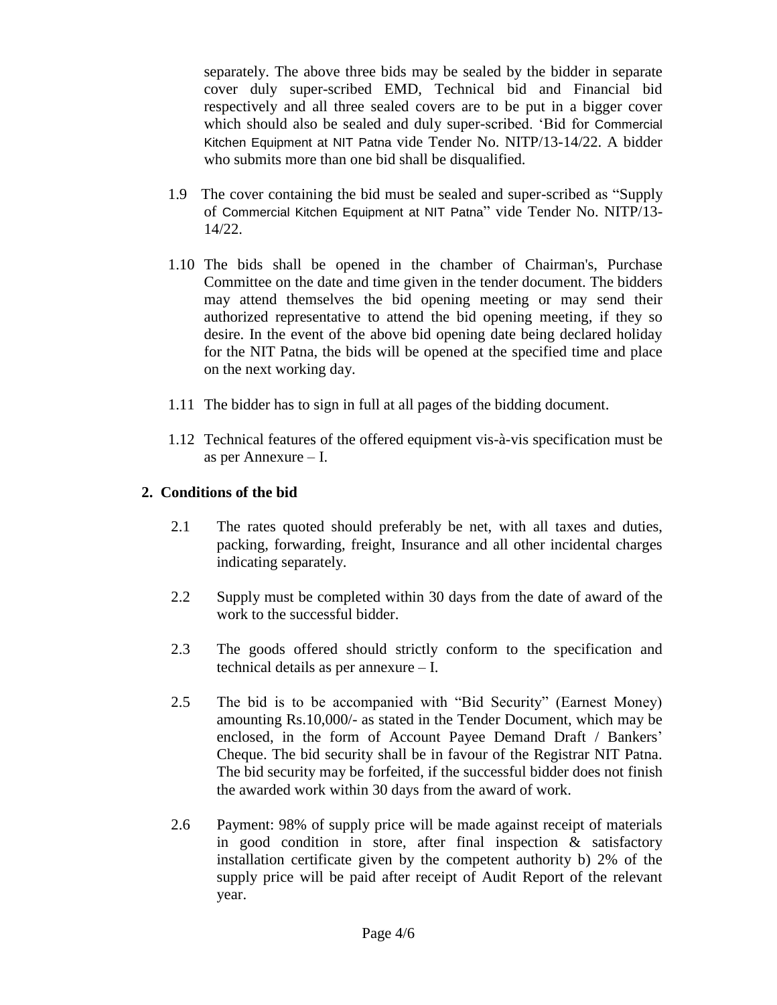separately. The above three bids may be sealed by the bidder in separate cover duly super-scribed EMD, Technical bid and Financial bid respectively and all three sealed covers are to be put in a bigger cover which should also be sealed and duly super-scribed. 'Bid for Commercial Kitchen Equipment at NIT Patna vide Tender No. NITP/13-14/22. A bidder who submits more than one bid shall be disqualified.

- 1.9 The cover containing the bid must be sealed and super-scribed as "Supply of Commercial Kitchen Equipment at NIT Patna" vide Tender No. NITP/13- 14/22.
- 1.10 The bids shall be opened in the chamber of Chairman's, Purchase Committee on the date and time given in the tender document. The bidders may attend themselves the bid opening meeting or may send their authorized representative to attend the bid opening meeting, if they so desire. In the event of the above bid opening date being declared holiday for the NIT Patna, the bids will be opened at the specified time and place on the next working day.
- 1.11 The bidder has to sign in full at all pages of the bidding document.
- 1.12 Technical features of the offered equipment vis-à-vis specification must be as per Annexure – I.

### **2. Conditions of the bid**

- 2.1 The rates quoted should preferably be net, with all taxes and duties, packing, forwarding, freight, Insurance and all other incidental charges indicating separately.
- 2.2 Supply must be completed within 30 days from the date of award of the work to the successful bidder.
- 2.3 The goods offered should strictly conform to the specification and technical details as per annexure – I.
- 2.5 The bid is to be accompanied with "Bid Security" (Earnest Money) amounting Rs.10,000/- as stated in the Tender Document, which may be enclosed, in the form of Account Payee Demand Draft / Bankers' Cheque. The bid security shall be in favour of the Registrar NIT Patna. The bid security may be forfeited, if the successful bidder does not finish the awarded work within 30 days from the award of work.
- 2.6 Payment: 98% of supply price will be made against receipt of materials in good condition in store, after final inspection & satisfactory installation certificate given by the competent authority b) 2% of the supply price will be paid after receipt of Audit Report of the relevant year.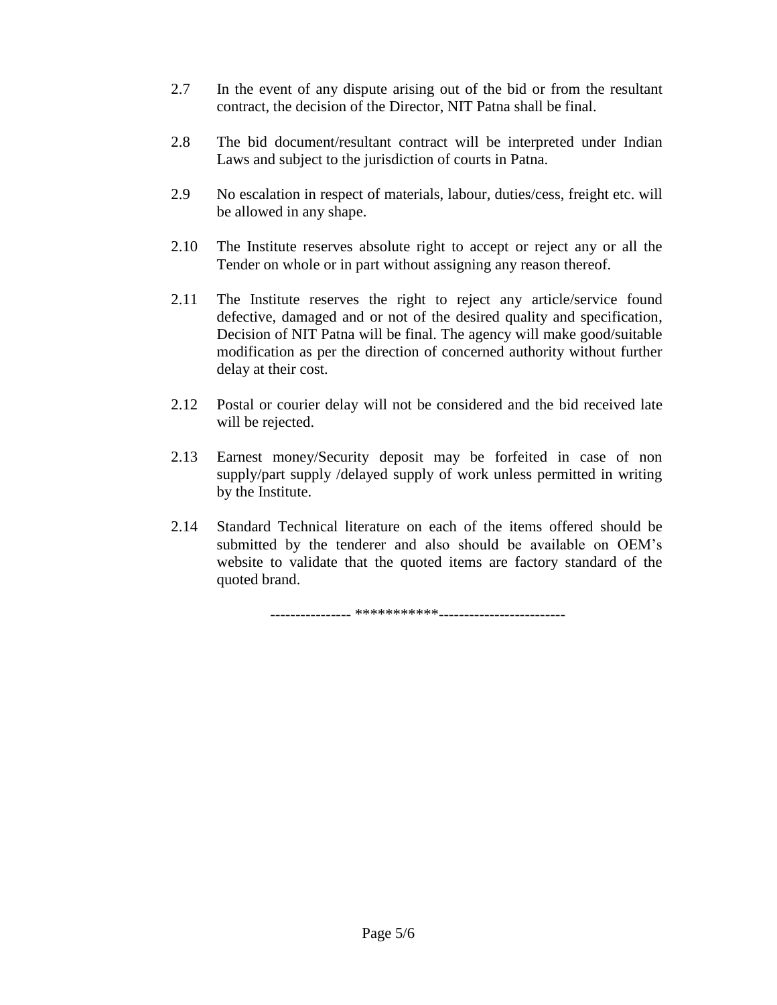- 2.7 In the event of any dispute arising out of the bid or from the resultant contract, the decision of the Director, NIT Patna shall be final.
- 2.8 The bid document/resultant contract will be interpreted under Indian Laws and subject to the jurisdiction of courts in Patna.
- 2.9 No escalation in respect of materials, labour, duties/cess, freight etc. will be allowed in any shape.
- 2.10 The Institute reserves absolute right to accept or reject any or all the Tender on whole or in part without assigning any reason thereof.
- 2.11 The Institute reserves the right to reject any article/service found defective, damaged and or not of the desired quality and specification, Decision of NIT Patna will be final. The agency will make good/suitable modification as per the direction of concerned authority without further delay at their cost.
- 2.12 Postal or courier delay will not be considered and the bid received late will be rejected.
- 2.13 Earnest money/Security deposit may be forfeited in case of non supply/part supply /delayed supply of work unless permitted in writing by the Institute.
- 2.14 Standard Technical literature on each of the items offered should be submitted by the tenderer and also should be available on OEM's website to validate that the quoted items are factory standard of the quoted brand.

---------------- \*\*\*\*\*\*\*\*\*\*\*-------------------------